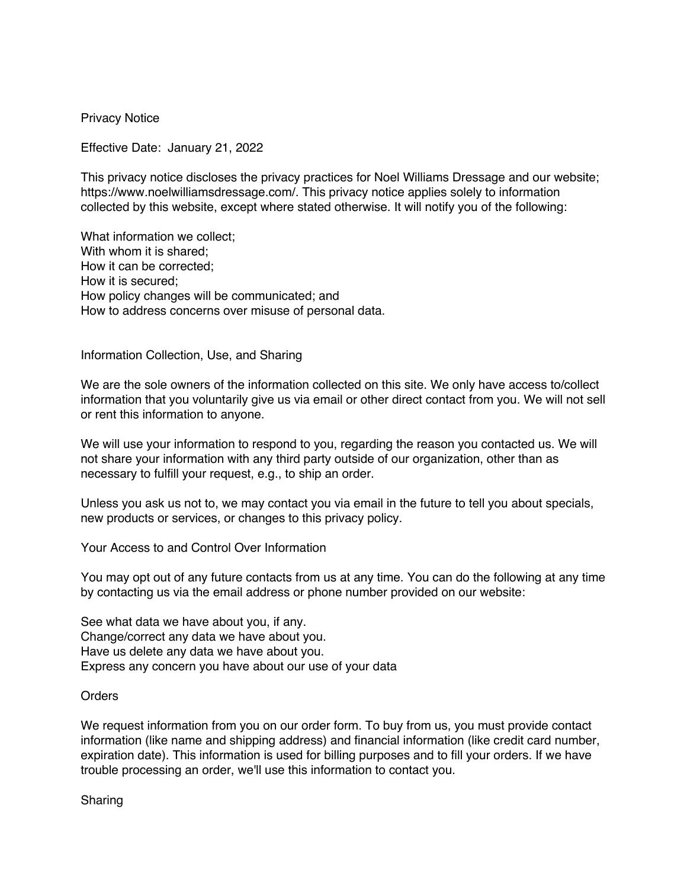Privacy Notice

Effective Date: January 21, 2022

This privacy notice discloses the privacy practices for Noel Williams Dressage and our website; https://www.noelwilliamsdressage.com/. This privacy notice applies solely to information collected by this website, except where stated otherwise. It will notify you of the following:

What information we collect; With whom it is shared; How it can be corrected; How it is secured; How policy changes will be communicated; and How to address concerns over misuse of personal data.

Information Collection, Use, and Sharing

We are the sole owners of the information collected on this site. We only have access to/collect information that you voluntarily give us via email or other direct contact from you. We will not sell or rent this information to anyone.

We will use your information to respond to you, regarding the reason you contacted us. We will not share your information with any third party outside of our organization, other than as necessary to fulfill your request, e.g., to ship an order.

Unless you ask us not to, we may contact you via email in the future to tell you about specials, new products or services, or changes to this privacy policy.

Your Access to and Control Over Information

You may opt out of any future contacts from us at any time. You can do the following at any time by contacting us via the email address or phone number provided on our website:

See what data we have about you, if any. Change/correct any data we have about you. Have us delete any data we have about you. Express any concern you have about our use of your data

### **Orders**

We request information from you on our order form. To buy from us, you must provide contact information (like name and shipping address) and financial information (like credit card number, expiration date). This information is used for billing purposes and to fill your orders. If we have trouble processing an order, we'll use this information to contact you.

Sharing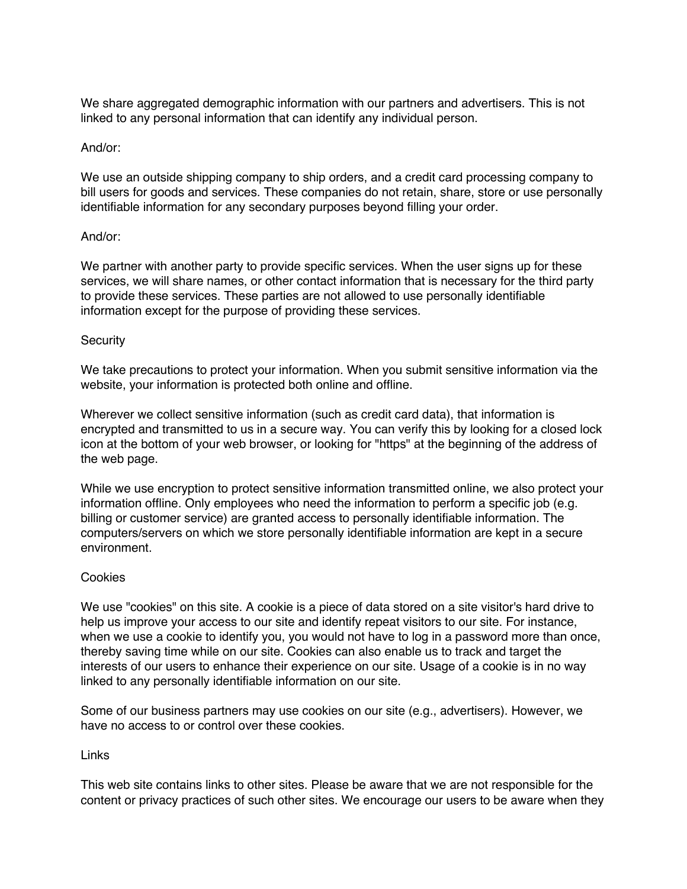We share aggregated demographic information with our partners and advertisers. This is not linked to any personal information that can identify any individual person.

# And/or:

We use an outside shipping company to ship orders, and a credit card processing company to bill users for goods and services. These companies do not retain, share, store or use personally identifiable information for any secondary purposes beyond filling your order.

# And/or:

We partner with another party to provide specific services. When the user signs up for these services, we will share names, or other contact information that is necessary for the third party to provide these services. These parties are not allowed to use personally identifiable information except for the purpose of providing these services.

# **Security**

We take precautions to protect your information. When you submit sensitive information via the website, your information is protected both online and offline.

Wherever we collect sensitive information (such as credit card data), that information is encrypted and transmitted to us in a secure way. You can verify this by looking for a closed lock icon at the bottom of your web browser, or looking for "https" at the beginning of the address of the web page.

While we use encryption to protect sensitive information transmitted online, we also protect your information offline. Only employees who need the information to perform a specific job (e.g. billing or customer service) are granted access to personally identifiable information. The computers/servers on which we store personally identifiable information are kept in a secure environment.

## **Cookies**

We use "cookies" on this site. A cookie is a piece of data stored on a site visitor's hard drive to help us improve your access to our site and identify repeat visitors to our site. For instance, when we use a cookie to identify you, you would not have to log in a password more than once, thereby saving time while on our site. Cookies can also enable us to track and target the interests of our users to enhance their experience on our site. Usage of a cookie is in no way linked to any personally identifiable information on our site.

Some of our business partners may use cookies on our site (e.g., advertisers). However, we have no access to or control over these cookies.

## Links

This web site contains links to other sites. Please be aware that we are not responsible for the content or privacy practices of such other sites. We encourage our users to be aware when they